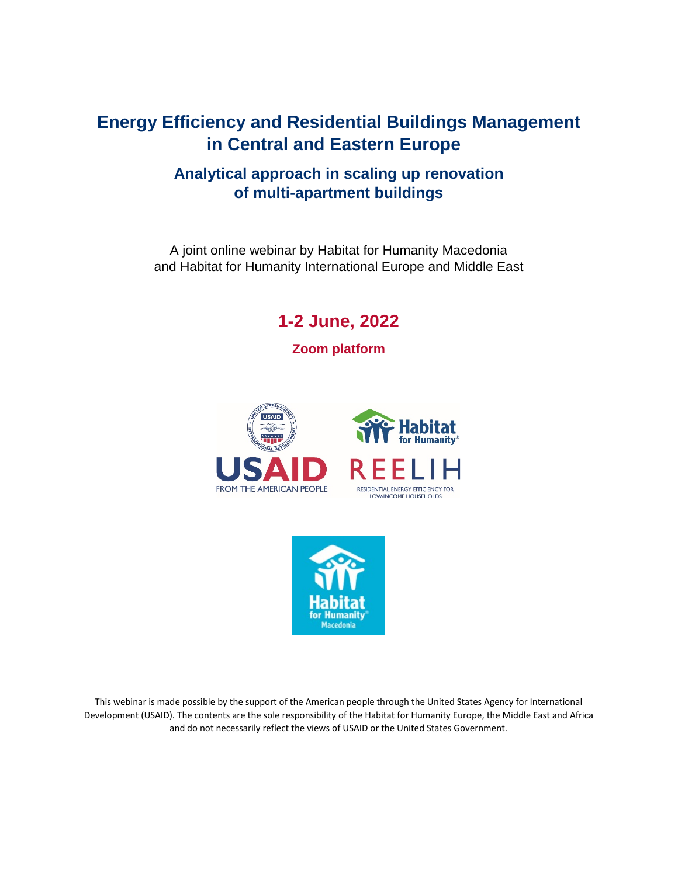# **Energy Efficiency and Residential Buildings Management in Central and Eastern Europe**

## **Analytical approach in scaling up renovation of multi-apartment buildings**

A joint online webinar by Habitat for Humanity Macedonia and Habitat for Humanity International Europe and Middle East

**1-2 June, 2022**

**Zoom platform**





This webinar is made possible by the support of the American people through the United States Agency for International Development (USAID). The contents are the sole responsibility of the Habitat for Humanity Europe, the Middle East and Africa and do not necessarily reflect the views of USAID or the United States Government.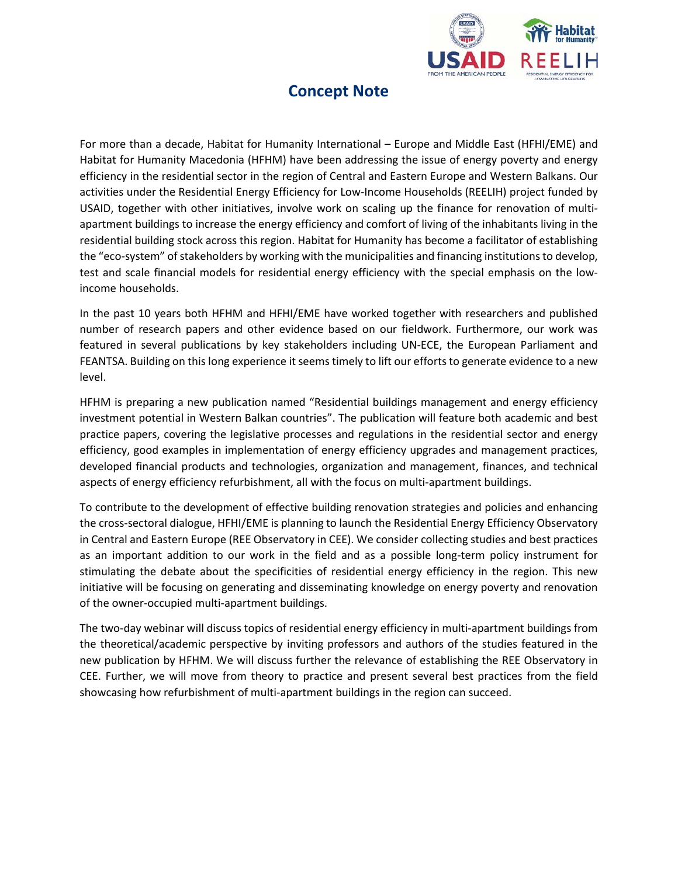

# **Concept Note**

For more than a decade, Habitat for Humanity International – Europe and Middle East (HFHI/EME) and Habitat for Humanity Macedonia (HFHM) have been addressing the issue of energy poverty and energy efficiency in the residential sector in the region of Central and Eastern Europe and Western Balkans. Our activities under the Residential Energy Efficiency for Low-Income Households (REELIH) project funded by USAID, together with other initiatives, involve work on scaling up the finance for renovation of multiapartment buildings to increase the energy efficiency and comfort of living of the inhabitants living in the residential building stock across this region. Habitat for Humanity has become a facilitator of establishing the "eco-system" of stakeholders by working with the municipalities and financing institutions to develop, test and scale financial models for residential energy efficiency with the special emphasis on the lowincome households.

In the past 10 years both HFHM and HFHI/EME have worked together with researchers and published number of research papers and other evidence based on our fieldwork. Furthermore, our work was featured in several publications by key stakeholders including UN-ECE, the European Parliament and FEANTSA. Building on this long experience it seems timely to lift our efforts to generate evidence to a new level.

HFHM is preparing a new publication named "Residential buildings management and energy efficiency investment potential in Western Balkan countries". The publication will feature both academic and best practice papers, covering the legislative processes and regulations in the residential sector and energy efficiency, good examples in implementation of energy efficiency upgrades and management practices, developed financial products and technologies, organization and management, finances, and technical aspects of energy efficiency refurbishment, all with the focus on multi-apartment buildings.

To contribute to the development of effective building renovation strategies and policies and enhancing the cross-sectoral dialogue, HFHI/EME is planning to launch the Residential Energy Efficiency Observatory in Central and Eastern Europe (REE Observatory in CEE). We consider collecting studies and best practices as an important addition to our work in the field and as a possible long-term policy instrument for stimulating the debate about the specificities of residential energy efficiency in the region. This new initiative will be focusing on generating and disseminating knowledge on energy poverty and renovation of the owner-occupied multi-apartment buildings.

The two-day webinar will discuss topics of residential energy efficiency in multi-apartment buildings from the theoretical/academic perspective by inviting professors and authors of the studies featured in the new publication by HFHM. We will discuss further the relevance of establishing the REE Observatory in CEE. Further, we will move from theory to practice and present several best practices from the field showcasing how refurbishment of multi-apartment buildings in the region can succeed.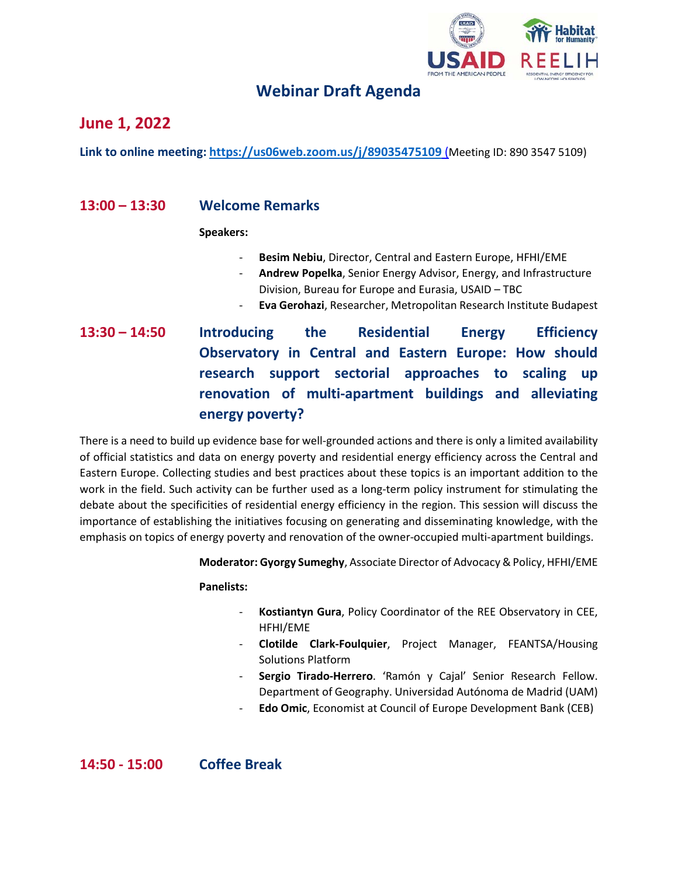

## **Webinar Draft Agenda**

## **June 1, 2022**

**Link to online meeting: <https://us06web.zoom.us/j/89035475109>** (Meeting ID: 890 3547 5109)

### **13:00 – 13:30 Welcome Remarks**

**Speakers:**

- **Besim Nebiu**, Director, Central and Eastern Europe, HFHI/EME
- **Andrew Popelka**, Senior Energy Advisor, Energy, and Infrastructure Division, Bureau for Europe and Eurasia, USAID – TBC
- **Eva Gerohazi**, Researcher, Metropolitan Research Institute Budapest
- **13:30 – 14:50 Introducing the Residential Energy Efficiency Observatory in Central and Eastern Europe: How should research support sectorial approaches to scaling up renovation of multi-apartment buildings and alleviating energy poverty?**

There is a need to build up evidence base for well-grounded actions and there is only a limited availability of official statistics and data on energy poverty and residential energy efficiency across the Central and Eastern Europe. Collecting studies and best practices about these topics is an important addition to the work in the field. Such activity can be further used as a long-term policy instrument for stimulating the debate about the specificities of residential energy efficiency in the region. This session will discuss the importance of establishing the initiatives focusing on generating and disseminating knowledge, with the emphasis on topics of energy poverty and renovation of the owner-occupied multi-apartment buildings.

**Moderator: Gyorgy Sumeghy**, Associate Director of Advocacy & Policy, HFHI/EME

#### **Panelists:**

- **Kostiantyn Gura**, Policy Coordinator of the REE Observatory in CEE, HFHI/EME
- **Clotilde Clark-Foulquier**, Project Manager, FEANTSA/Housing Solutions Platform
- **Sergio Tirado-Herrero**. 'Ramón y Cajal' Senior Research Fellow. Department of Geography. Universidad Autónoma de Madrid (UAM)
- **Edo Omic**, Economist at Council of Europe Development Bank (CEB)

**14:50 - 15:00 Coffee Break**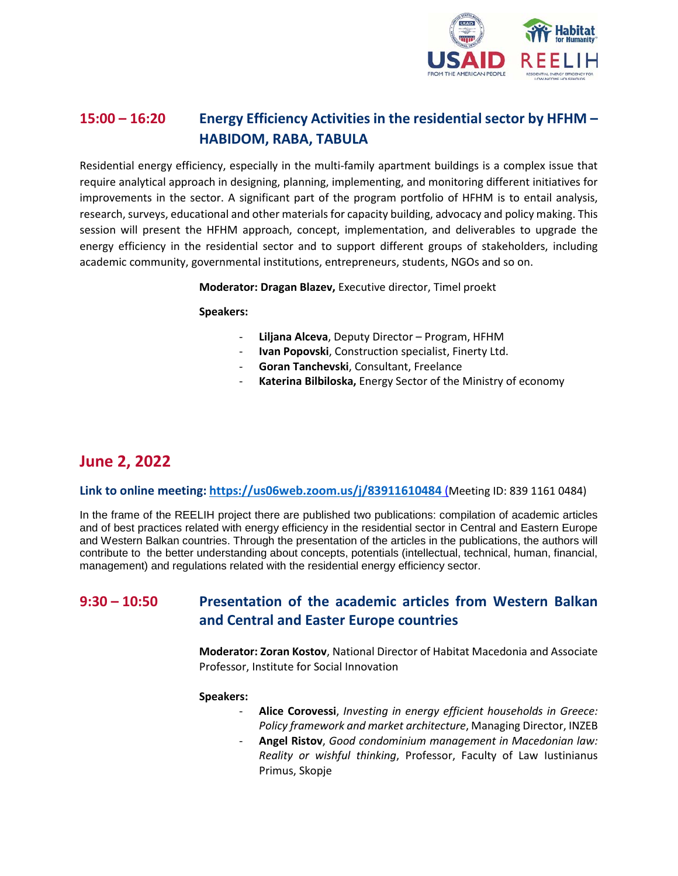

## **15:00 – 16:20 Energy Efficiency Activities in the residential sector by HFHM – HABIDOM, RABA, TABULA**

Residential energy efficiency, especially in the multi-family apartment buildings is a complex issue that require analytical approach in designing, planning, implementing, and monitoring different initiatives for improvements in the sector. A significant part of the program portfolio of HFHM is to entail analysis, research, surveys, educational and other materials for capacity building, advocacy and policy making. This session will present the HFHM approach, concept, implementation, and deliverables to upgrade the energy efficiency in the residential sector and to support different groups of stakeholders, including academic community, governmental institutions, entrepreneurs, students, NGOs and so on.

**Moderator: Dragan Blazev,** Executive director, Timel proekt

#### **Speakers:**

- **Liljana Alceva**, Deputy Director Program, HFHM
- **Ivan Popovski**, Construction specialist, Finerty Ltd.
- **Goran Tanchevski**, Consultant, Freelance
- Katerina Bilbiloska, Energy Sector of the Ministry of economy

## **June 2, 2022**

#### **Link to online meeting: <https://us06web.zoom.us/j/83911610484>** (Meeting ID: 839 1161 0484)

In the frame of the REELIH project there are published two publications: compilation of academic articles and of best practices related with energy efficiency in the residential sector in Central and Eastern Europe and Western Balkan countries. Through the presentation of the articles in the publications, the authors will contribute to the better understanding about concepts, potentials (intellectual, technical, human, financial, management) and regulations related with the residential energy efficiency sector.

### **9:30 – 10:50 Presentation of the academic articles from Western Balkan and Central and Easter Europe countries**

**Moderator: Zoran Kostov**, National Director of Habitat Macedonia and Associate Professor, Institute for Social Innovation

#### **Speakers:**

- **Alice Corovessi**, *Investing in energy efficient households in Greece: Policy framework and market architecture*, Managing Director, INZEB
- **Angel Ristov**, *Good condominium management in Macedonian law: Reality or wishful thinking*, Professor, Faculty of Law Iustinianus Primus, Skopje